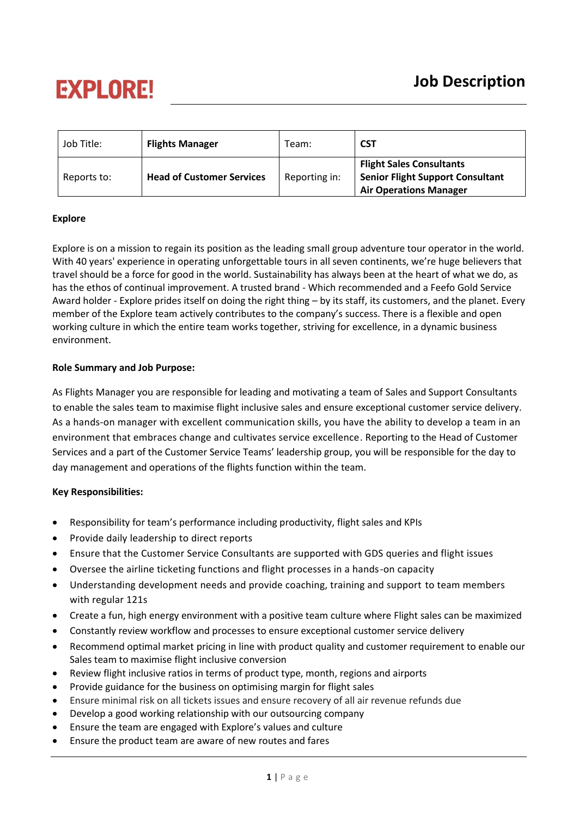# **EXPLORE!**

| Job Title:  | <b>Flights Manager</b>           | Team:         | <b>CST</b>                                                                                                  |
|-------------|----------------------------------|---------------|-------------------------------------------------------------------------------------------------------------|
| Reports to: | <b>Head of Customer Services</b> | Reporting in: | <b>Flight Sales Consultants</b><br><b>Senior Flight Support Consultant</b><br><b>Air Operations Manager</b> |

## **Explore**

Explore is on a mission to regain its position as the leading small group adventure tour operator in the world. With 40 years' experience in operating unforgettable tours in all seven continents, we're huge believers that travel should be a force for good in the world. Sustainability has always been at the heart of what we do, as has the ethos of continual improvement. A trusted brand - Which recommended and a Feefo Gold Service Award holder - Explore prides itself on doing the right thing – by its staff, its customers, and the planet. Every member of the Explore team actively contributes to the company's success. There is a flexible and open working culture in which the entire team works together, striving for excellence, in a dynamic business environment.

### **Role Summary and Job Purpose:**

As Flights Manager you are responsible for leading and motivating a team of Sales and Support Consultants to enable the sales team to maximise flight inclusive sales and ensure exceptional customer service delivery. As a hands-on manager with excellent communication skills, you have the ability to develop a team in an environment that embraces change and cultivates service excellence. Reporting to the Head of Customer Services and a part of the Customer Service Teams' leadership group, you will be responsible for the day to day management and operations of the flights function within the team.

## **Key Responsibilities:**

- Responsibility for team's performance including productivity, flight sales and KPIs
- Provide daily leadership to direct reports
- Ensure that the Customer Service Consultants are supported with GDS queries and flight issues
- Oversee the airline ticketing functions and flight processes in a hands-on capacity
- Understanding development needs and provide coaching, training and support to team members with regular 121s
- Create a fun, high energy environment with a positive team culture where Flight sales can be maximized
- Constantly review workflow and processes to ensure exceptional customer service delivery
- Recommend optimal market pricing in line with product quality and customer requirement to enable our Sales team to maximise flight inclusive conversion
- Review flight inclusive ratios in terms of product type, month, regions and airports
- Provide guidance for the business on optimising margin for flight sales
- Ensure minimal risk on all tickets issues and ensure recovery of all air revenue refunds due
- Develop a good working relationship with our outsourcing company
- Ensure the team are engaged with Explore's values and culture
- Ensure the product team are aware of new routes and fares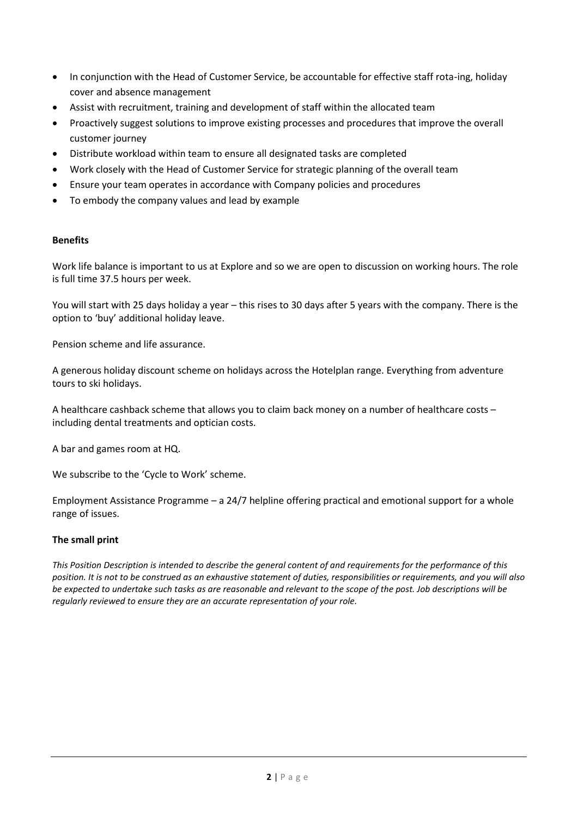- In conjunction with the Head of Customer Service, be accountable for effective staff rota-ing, holiday cover and absence management
- Assist with recruitment, training and development of staff within the allocated team
- Proactively suggest solutions to improve existing processes and procedures that improve the overall customer journey
- Distribute workload within team to ensure all designated tasks are completed
- Work closely with the Head of Customer Service for strategic planning of the overall team
- Ensure your team operates in accordance with Company policies and procedures
- To embody the company values and lead by example

#### **Benefits**

Work life balance is important to us at Explore and so we are open to discussion on working hours. The role is full time 37.5 hours per week.

You will start with 25 days holiday a year – this rises to 30 days after 5 years with the company. There is the option to 'buy' additional holiday leave.

Pension scheme and life assurance.

A generous holiday discount scheme on holidays across the Hotelplan range. Everything from adventure tours to ski holidays.

A healthcare cashback scheme that allows you to claim back money on a number of healthcare costs – including dental treatments and optician costs.

A bar and games room at HQ.

We subscribe to the 'Cycle to Work' scheme.

Employment Assistance Programme – a 24/7 helpline offering practical and emotional support for a whole range of issues.

### **The small print**

*This Position Description is intended to describe the general content of and requirements for the performance of this position. It is not to be construed as an exhaustive statement of duties, responsibilities or requirements, and you will also be expected to undertake such tasks as are reasonable and relevant to the scope of the post. Job descriptions will be regularly reviewed to ensure they are an accurate representation of your role.*